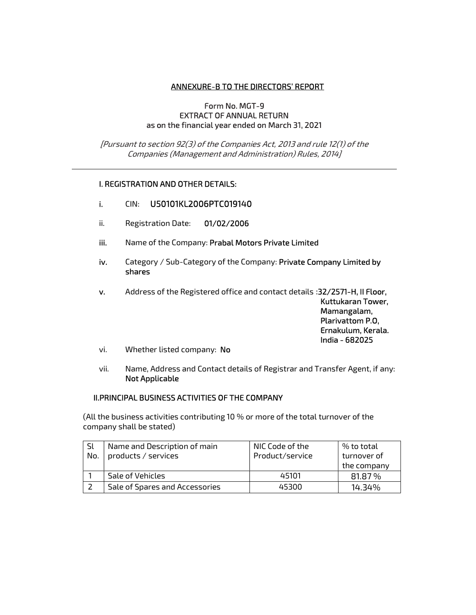### ANNEXURE-B TO THE DIRECTORS' REPORT

#### Form No. MGT-9 EXTRACT OF ANNUAL RETURN as on the financial year ended on March 31, 2021

[Pursuant to section 92(3) of the Companies Act, 2013 and rule 12(1) of the Companies (Management and Administration) Rules, 2014]

### I. REGISTRATION AND OTHER DETAILS:

- i. CIN: U50101KL2006PTC019140
- ii. Registration Date: 01/02/2006
- iii. Name of the Company: Prabal Motors Private Limited
- iv. Category / Sub-Category of the Company: Private Company Limited by shares

v. Address of the Registered office and contact details :32/2571-H, II Floor,

Kuttukaran Tower, Mamangalam, Plarivattom P.O, Ernakulum, Kerala. India - 682025

- vi. Whether listed company: No
- vii. Name, Address and Contact details of Registrar and Transfer Agent, if any: Not Applicable

### II.PRINCIPAL BUSINESS ACTIVITIES OF THE COMPANY

(All the business activities contributing 10 % or more of the total turnover of the company shall be stated)

| Sl  | Name and Description of main   | NIC Code of the | % to total  |
|-----|--------------------------------|-----------------|-------------|
| No. | products / services            | Product/service | turnover of |
|     |                                |                 | the company |
|     | Sale of Vehicles               | 45101           | 81.87 %     |
|     | Sale of Spares and Accessories | 45300           | 14.34%      |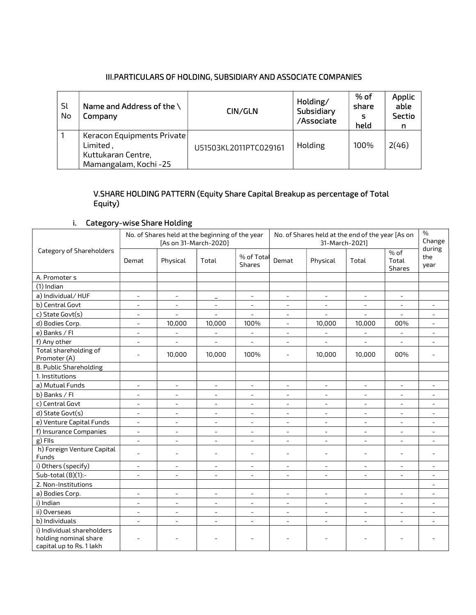### III.PARTICULARS OF HOLDING, SUBSIDIARY AND ASSOCIATE COMPANIES

| Sl<br>No | Name and Address of the $\setminus$<br>Company                                        | CIN/GLN               | Holding/<br>Subsidiary<br>/Associate | % of<br>share<br>s<br>held | <b>Applic</b><br>able<br><b>Sectio</b><br>n |
|----------|---------------------------------------------------------------------------------------|-----------------------|--------------------------------------|----------------------------|---------------------------------------------|
|          | Keracon Equipments Private<br>Limited,<br>Kuttukaran Centre,<br>Mamangalam, Kochi -25 | U51503KL2011PTC029161 | Holding                              | 100%                       | 2(46)                                       |

# V.SHARE HOLDING PATTERN (Equity Share Capital Breakup as percentage of Total Equity)

# i. Category-wise Share Holding

|                                                                                 |                          | No. of Shares held at the beginning of the year<br>[As on 31-March-2020] |                          |                          |                          | No. of Shares held at the end of the year [As on<br>31-March-2021] |                          |                           | $\%$<br>Change<br>during |
|---------------------------------------------------------------------------------|--------------------------|--------------------------------------------------------------------------|--------------------------|--------------------------|--------------------------|--------------------------------------------------------------------|--------------------------|---------------------------|--------------------------|
| Category of Shareholders                                                        | Demat                    | Physical                                                                 | Total                    | % of Total<br>Shares     | Demat                    | Physical                                                           | Total                    | $%$ of<br>Total<br>Shares | the<br>year              |
| A. Promoter s                                                                   |                          |                                                                          |                          |                          |                          |                                                                    |                          |                           |                          |
| $(1)$ Indian                                                                    |                          |                                                                          |                          |                          |                          |                                                                    |                          |                           |                          |
| a) Individual/HUF                                                               | $\overline{\phantom{a}}$ | $\overline{\phantom{a}}$                                                 | $\qquad \qquad -$        | $\overline{\phantom{a}}$ | $\overline{\phantom{a}}$ | $\blacksquare$                                                     | $\overline{\phantom{a}}$ | $\overline{\phantom{a}}$  |                          |
| b) Central Govt                                                                 | $\overline{\phantom{a}}$ | $\overline{\phantom{a}}$                                                 | $\overline{\phantom{a}}$ | $\overline{\phantom{a}}$ | $\overline{\phantom{a}}$ | $\overline{\phantom{a}}$                                           | $\overline{\phantom{0}}$ | $\overline{\phantom{a}}$  | $\overline{\phantom{a}}$ |
| c) State Govt(s)                                                                | $\overline{\phantom{a}}$ | $\overline{\phantom{a}}$                                                 | $\overline{\phantom{a}}$ | $\overline{\phantom{a}}$ | $\overline{\phantom{a}}$ | $\blacksquare$                                                     | $\overline{\phantom{a}}$ | $\overline{\phantom{a}}$  |                          |
| d) Bodies Corp.                                                                 | $\overline{\phantom{a}}$ | 10,000                                                                   | 10,000                   | 100%                     | $\blacksquare$           | 10,000                                                             | 10,000                   | 00%                       | $\blacksquare$           |
| e) Banks / Fl                                                                   | $\overline{\phantom{a}}$ | $\blacksquare$                                                           | $\overline{\phantom{a}}$ | $\overline{\phantom{a}}$ | $\blacksquare$           | $\overline{\phantom{a}}$                                           | $\overline{\phantom{a}}$ | $\overline{\phantom{a}}$  | $\overline{\phantom{a}}$ |
| f) Any other                                                                    | $\overline{\phantom{m}}$ | $\overline{\phantom{a}}$                                                 | $\overline{\phantom{a}}$ | $\overline{\phantom{m}}$ | $\overline{\phantom{a}}$ | $\overline{\phantom{a}}$                                           | $\overline{\phantom{a}}$ | $\overline{\phantom{a}}$  | $\overline{\phantom{a}}$ |
| Total shareholding of<br>Promoter (A)                                           | $\blacksquare$           | 10,000                                                                   | 10,000                   | 100%                     | $\blacksquare$           | 10,000                                                             | 10,000                   | 00%                       | $\overline{\phantom{a}}$ |
| <b>B. Public Shareholding</b>                                                   |                          |                                                                          |                          |                          |                          |                                                                    |                          |                           |                          |
| 1. Institutions                                                                 |                          |                                                                          |                          |                          |                          |                                                                    |                          |                           |                          |
| a) Mutual Funds                                                                 | $\overline{\phantom{a}}$ | $\blacksquare$                                                           | $\overline{\phantom{a}}$ | $\overline{\phantom{a}}$ | $\overline{\phantom{a}}$ | $\overline{\phantom{a}}$                                           | $\overline{\phantom{a}}$ | $\overline{\phantom{a}}$  | $\overline{\phantom{a}}$ |
| b) Banks / Fl                                                                   | $\overline{\phantom{a}}$ | $\overline{\phantom{a}}$                                                 | $\overline{\phantom{a}}$ | $\overline{\phantom{a}}$ | $\overline{\phantom{a}}$ | $\overline{\phantom{a}}$                                           | $\overline{\phantom{a}}$ | $\overline{\phantom{a}}$  | $\overline{\phantom{a}}$ |
| c) Central Govt                                                                 | $\overline{\phantom{a}}$ | $\overline{\phantom{a}}$                                                 | $\overline{\phantom{a}}$ | $\overline{\phantom{a}}$ | $\overline{\phantom{a}}$ | $\blacksquare$                                                     | $\blacksquare$           | $\blacksquare$            | $\blacksquare$           |
| d) State Govt(s)                                                                | $\overline{\phantom{a}}$ | $\blacksquare$                                                           | $\overline{\phantom{a}}$ | $\overline{\phantom{a}}$ | $\blacksquare$           | $\overline{\phantom{a}}$                                           | $\overline{\phantom{a}}$ | $\overline{\phantom{a}}$  | $\overline{\phantom{a}}$ |
| e) Venture Capital Funds                                                        | $\overline{\phantom{a}}$ | $\blacksquare$                                                           | $\overline{\phantom{a}}$ | $\blacksquare$           | $\blacksquare$           | $\overline{\phantom{a}}$                                           | $\overline{\phantom{a}}$ | $\overline{\phantom{a}}$  | $\overline{\phantom{a}}$ |
| f) Insurance Companies                                                          | $\overline{\phantom{a}}$ | $\overline{\phantom{a}}$                                                 | $\equiv$                 | $\equiv$                 | $\overline{\phantom{a}}$ | $\blacksquare$                                                     | $\blacksquare$           | $\blacksquare$            | $\blacksquare$           |
| g) Flls                                                                         | $\overline{\phantom{a}}$ | $\overline{\phantom{a}}$                                                 | $\overline{\phantom{a}}$ | $\overline{\phantom{a}}$ | $\overline{\phantom{a}}$ | $\blacksquare$                                                     | $\overline{\phantom{a}}$ | $\blacksquare$            | $\overline{\phantom{a}}$ |
| h) Foreign Venture Capital<br>Funds                                             | $\overline{\phantom{a}}$ | $\qquad \qquad -$                                                        | $\overline{\phantom{a}}$ | $\overline{\phantom{a}}$ | $\blacksquare$           | $\overline{\phantom{a}}$                                           | $\overline{\phantom{a}}$ | $\overline{\phantom{a}}$  | $\overline{\phantom{a}}$ |
| i) Others (specify)                                                             | $\blacksquare$           | $\blacksquare$                                                           | $\overline{\phantom{a}}$ | $\overline{\phantom{a}}$ |                          | $\overline{\phantom{a}}$                                           | $\overline{\phantom{0}}$ | $\blacksquare$            | $\blacksquare$           |
| Sub-total $(B)(1)$ :-                                                           | $\overline{\phantom{a}}$ | $\overline{\phantom{a}}$                                                 | $\overline{\phantom{a}}$ | $\overline{\phantom{a}}$ | $\overline{\phantom{a}}$ | $\overline{\phantom{a}}$                                           | $\overline{\phantom{a}}$ | $\overline{\phantom{a}}$  | $\overline{\phantom{a}}$ |
| 2. Non-Institutions                                                             |                          |                                                                          |                          |                          |                          |                                                                    |                          |                           | $\overline{\phantom{a}}$ |
| a) Bodies Corp.                                                                 | $\overline{\phantom{a}}$ | $\equiv$                                                                 | $\equiv$                 | $\overline{a}$           | $\overline{\phantom{a}}$ | $\equiv$                                                           | $\equiv$                 | $\equiv$                  | $\sim$                   |
| i) Indian                                                                       | $\overline{\phantom{a}}$ | $\overline{\phantom{a}}$                                                 | $\overline{\phantom{a}}$ | $\overline{\phantom{a}}$ | $\overline{\phantom{a}}$ | $\blacksquare$                                                     | $ \,$                    | $\overline{\phantom{a}}$  | $\overline{\phantom{a}}$ |
| ii) Overseas                                                                    | $\overline{\phantom{a}}$ | $\blacksquare$                                                           | $\overline{\phantom{a}}$ | $\overline{\phantom{a}}$ | $\blacksquare$           | $\overline{\phantom{a}}$                                           | $\blacksquare$           | $\overline{\phantom{a}}$  | $\blacksquare$           |
| b) Individuals                                                                  | $\blacksquare$           | $\overline{\phantom{0}}$                                                 | $\overline{\phantom{a}}$ | $\overline{\phantom{a}}$ | $\blacksquare$           | $\overline{\phantom{a}}$                                           | $\blacksquare$           | $\overline{\phantom{a}}$  | $\blacksquare$           |
| i) Individual shareholders<br>holding nominal share<br>capital up to Rs. 1 lakh |                          |                                                                          |                          |                          |                          |                                                                    |                          |                           |                          |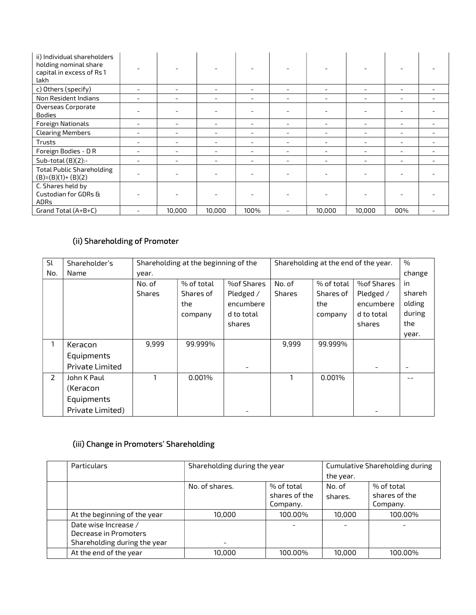| ii) Individual shareholders<br>holding nominal share<br>capital in excess of Rs 1<br>lakh |                          |        |        |      |                          |        |     |  |
|-------------------------------------------------------------------------------------------|--------------------------|--------|--------|------|--------------------------|--------|-----|--|
| c) Others (specify)                                                                       |                          |        |        |      |                          |        |     |  |
| Non Resident Indians                                                                      |                          |        |        |      | $\overline{\phantom{0}}$ |        |     |  |
| Overseas Corporate<br><b>Bodies</b>                                                       |                          |        |        |      |                          |        |     |  |
| Foreign Nationals                                                                         | $\overline{\phantom{0}}$ |        |        |      | $\overline{\phantom{0}}$ |        |     |  |
| <b>Clearing Members</b>                                                                   |                          |        |        |      |                          |        |     |  |
| Trusts                                                                                    |                          |        |        |      | ۰                        |        |     |  |
| Foreign Bodies - DR                                                                       |                          |        |        |      |                          | ۰      |     |  |
| Sub-total $(B)(2)$ :-                                                                     |                          |        |        |      |                          |        |     |  |
| <b>Total Public Shareholding</b><br>$(B)=(B)(1)+(B)(2)$                                   |                          |        |        |      | ۰                        |        |     |  |
| C. Shares held by<br>Custodian for GDRs &<br><b>ADRs</b>                                  |                          |        |        |      |                          |        |     |  |
| Grand Total (A+B+C)                                                                       |                          | 10,000 | 10,000 | 100% | 10,000                   | 10,000 | 00% |  |

# (ii) Shareholding of Promoter

| Sl  | Shareholder's          |               | Shareholding at the beginning of the |             |               | Shareholding at the end of the year. |             |        |
|-----|------------------------|---------------|--------------------------------------|-------------|---------------|--------------------------------------|-------------|--------|
| No. | <b>Name</b>            | year.         |                                      |             |               |                                      |             |        |
|     |                        | No. of        | % of total                           | %of Shares  | No. of        | % of total                           | %of Shares  | in     |
|     |                        | <b>Shares</b> | Shares of                            | Pledged $/$ | <b>Shares</b> | Shares of                            | Pledged $/$ | shareh |
|     |                        |               | the                                  | encumbere   |               | the                                  | encumbere   | olding |
|     |                        |               | company                              | d to total  |               | company                              | d to total  | during |
|     |                        |               |                                      | shares      |               |                                      | shares      | the    |
|     |                        |               |                                      |             |               |                                      |             | year.  |
| 1   | Keracon                | 9.999         | 99.999%                              |             | 9.999         | 99.999%                              |             |        |
|     | Equipments             |               |                                      |             |               |                                      |             |        |
|     | <b>Private Limited</b> |               |                                      |             |               |                                      |             |        |
| 2   | John K Paul            |               | 0.001%                               |             |               | 0.001%                               |             |        |
|     | (Keracon               |               |                                      |             |               |                                      |             |        |
|     | Equipments             |               |                                      |             |               |                                      |             |        |
|     | Private Limited)       |               |                                      |             |               |                                      |             |        |

# (iii) Change in Promoters' Shareholding

| Particulars                  | Shareholding during the year |               | <b>Cumulative Shareholding during</b> |               |  |  |
|------------------------------|------------------------------|---------------|---------------------------------------|---------------|--|--|
|                              |                              |               | the year.                             |               |  |  |
|                              | No. of shares.               | % of total    | No. of                                | % of total    |  |  |
|                              |                              | shares of the | shares.                               | shares of the |  |  |
|                              |                              | Company.      |                                       | Company.      |  |  |
| At the beginning of the year | 10.000                       | 100.00%       | 10.000                                | 100.00%       |  |  |
| Date wise Increase /         |                              |               |                                       |               |  |  |
| Decrease in Promoters        |                              |               |                                       |               |  |  |
| Shareholding during the year |                              |               |                                       |               |  |  |
| At the end of the year       | 10.000                       | 100.00%       | 10.000                                | 100.00%       |  |  |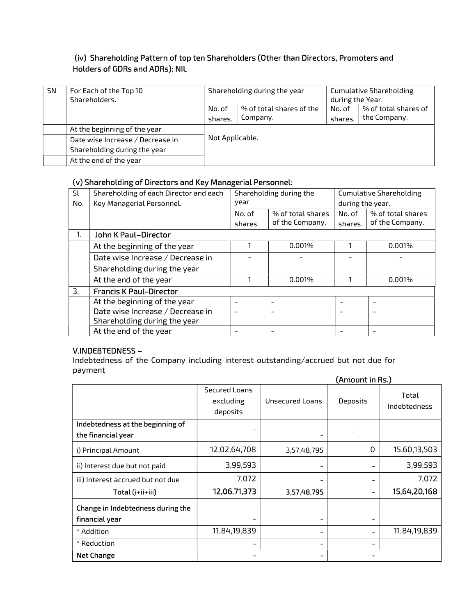# (iv) Shareholding Pattern of top ten Shareholders (Other than Directors, Promoters and Holders of GDRs and ADRs): NIL

| <b>SN</b> | For Each of the Top 10<br>Shareholders. | Shareholding during the year |                                      | <b>Cumulative Shareholding</b><br>during the Year. |                        |
|-----------|-----------------------------------------|------------------------------|--------------------------------------|----------------------------------------------------|------------------------|
|           |                                         | No. of                       | $%$ of total shares of the<br>No. of |                                                    | $%$ of total shares of |
|           |                                         | shares.                      | Company.                             | shares.                                            | the Company.           |
|           | At the beginning of the year            |                              |                                      |                                                    |                        |
|           | Date wise Increase / Decrease in        | Not Applicable.              |                                      |                                                    |                        |
|           | Shareholding during the year            |                              |                                      |                                                    |                        |
|           | At the end of the year                  |                              |                                      |                                                    |                        |

# (v) Shareholding of Directors and Key Managerial Personnel:

| Sl  | Shareholding of each Director and each | Shareholding during the |                   |         | <b>Cumulative Shareholding</b> |  |  |
|-----|----------------------------------------|-------------------------|-------------------|---------|--------------------------------|--|--|
| No. | Key Managerial Personnel.              | year                    |                   |         | during the year.               |  |  |
|     |                                        | No. of                  | % of total shares | No. of  | % of total shares              |  |  |
|     |                                        | shares.                 | of the Company.   | shares. | of the Company.                |  |  |
|     | John K Paul-Director                   |                         |                   |         |                                |  |  |
|     | At the beginning of the year           |                         | 0.001%            |         | 0.001%                         |  |  |
|     | Date wise Increase / Decrease in       |                         |                   |         |                                |  |  |
|     | Shareholding during the year           |                         |                   |         |                                |  |  |
|     | At the end of the year                 |                         | 0.001%            |         | 0.001%                         |  |  |
| 3.  | <b>Francis K Paul-Director</b>         |                         |                   |         |                                |  |  |
|     | At the beginning of the year           |                         |                   |         |                                |  |  |
|     | Date wise Increase / Decrease in       |                         |                   |         |                                |  |  |
|     | Shareholding during the year           |                         |                   |         |                                |  |  |
|     | At the end of the year                 |                         |                   |         |                                |  |  |

## V.INDEBTEDNESS –

Indebtedness of the Company including interest outstanding/accrued but not due for payment

|                                                        | (Amount in Rs.)                        |                              |          |                              |
|--------------------------------------------------------|----------------------------------------|------------------------------|----------|------------------------------|
|                                                        | Secured Loans<br>excluding<br>deposits | Unsecured Loans              | Deposits | Total<br><b>Indebtedness</b> |
| Indebtedness at the beginning of<br>the financial year |                                        | -                            |          |                              |
| i) Principal Amount                                    | 12,02,64,708                           | 3,57,48,795                  | 0        | 15,60,13,503                 |
| ii) Interest due but not paid                          | 3,99,593                               | -                            |          | 3,99,593                     |
| iii) Interest accrued but not due                      | 7,072                                  | -                            |          | 7,072                        |
| Total (i+ii+iii)                                       | 12,06,71,373                           | 3,57,48,795                  |          | 15,64,20,168                 |
| Change in Indebtedness during the                      |                                        |                              |          |                              |
| financial year                                         |                                        | $\qquad \qquad \blacksquare$ |          |                              |
| * Addition                                             | 11,84,19,839                           | -                            |          | 11,84,19,839                 |
| * Reduction                                            |                                        | -                            |          |                              |
| <b>Net Change</b>                                      |                                        | -                            |          |                              |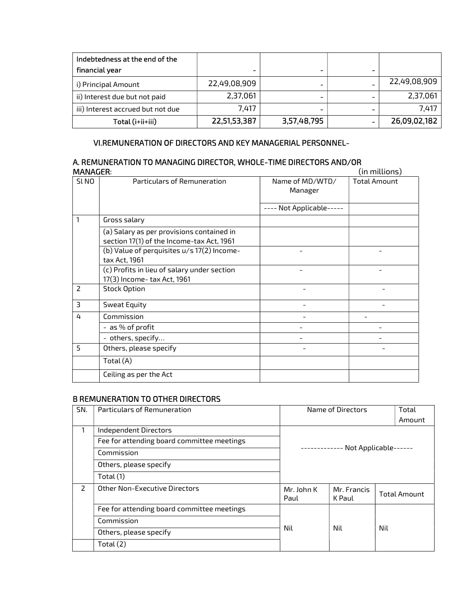| Indebtedness at the end of the    |              |                          |              |
|-----------------------------------|--------------|--------------------------|--------------|
| financial year                    |              | -                        |              |
| i) Principal Amount               | 22,49,08,909 | -                        | 22,49,08,909 |
| ii) Interest due but not paid     | 2,37,061     | $\overline{\phantom{a}}$ | 2,37,061     |
| iii) Interest accrued but not due | 7,417        | $\blacksquare$           | 7,417        |
| Total (i+ii+iii)                  | 22,51,53,387 | 3,57,48,795              | 26,09,02,182 |

## VI.REMUNERATION OF DIRECTORS AND KEY MANAGERIAL PERSONNEL-

### A. REMUNERATION TO MANAGING DIRECTOR, WHOLE-TIME DIRECTORS AND/OR MANAGER: (in millions)

|                |                                                                                        |                            | ,,,,,,,,,,,,,,,,,,,,,, |
|----------------|----------------------------------------------------------------------------------------|----------------------------|------------------------|
| SLNO           | Particulars of Remuneration                                                            | Name of MD/WTD/<br>Manager | <b>Total Amount</b>    |
|                |                                                                                        | ---- Not Applicable-----   |                        |
| 1              | Gross salary                                                                           |                            |                        |
|                | (a) Salary as per provisions contained in<br>section 17(1) of the Income-tax Act, 1961 |                            |                        |
|                | (b) Value of perquisites u/s 17(2) Income-<br>tax Act, 1961                            |                            |                        |
|                | (c) Profits in lieu of salary under section<br>17(3) Income- tax Act, 1961             |                            |                        |
| $\overline{2}$ | <b>Stock Option</b>                                                                    |                            |                        |
| 3              | Sweat Equity                                                                           |                            |                        |
| 4              | Commission                                                                             |                            |                        |
|                | - as % of profit                                                                       |                            |                        |
|                | - others, specify                                                                      |                            |                        |
| 5              | Others, please specify                                                                 |                            |                        |
|                | Total (A)                                                                              |                            |                        |
|                | Ceiling as per the Act                                                                 |                            |                        |

## B REMUNERATION TO OTHER DIRECTORS

| SN.           | Particulars of Remuneration                | Name of Directors<br>Total |                       |  |                     |
|---------------|--------------------------------------------|----------------------------|-----------------------|--|---------------------|
|               |                                            | Amount                     |                       |  |                     |
|               | Independent Directors                      |                            |                       |  |                     |
|               | Fee for attending board committee meetings |                            |                       |  |                     |
|               | Commission                                 |                            | - Not Applicable-·    |  |                     |
|               | Others, please specify                     |                            |                       |  |                     |
|               | Total $(1)$                                |                            |                       |  |                     |
| $\mathcal{L}$ | Other Non-Executive Directors              | Mr. John K<br>Paul         | Mr. Francis<br>K Paul |  | <b>Total Amount</b> |
|               | Fee for attending board committee meetings |                            |                       |  |                     |
|               | Commission                                 | Nil<br>Nil<br>Nil          |                       |  |                     |
|               | Others, please specify                     |                            |                       |  |                     |
|               | Total $(2)$                                |                            |                       |  |                     |